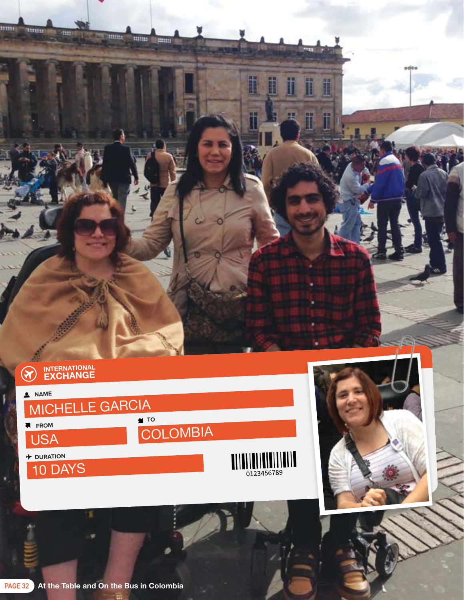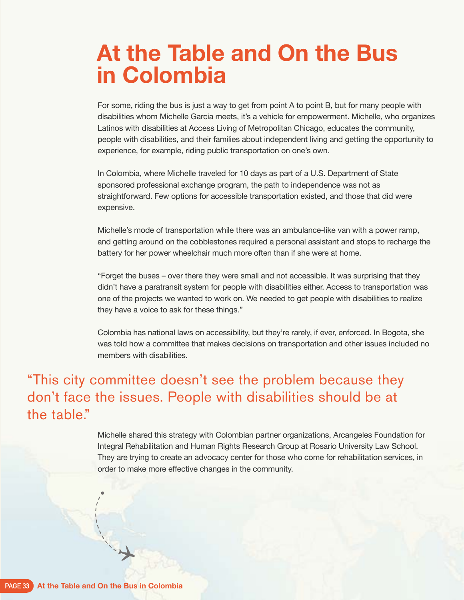## **At the Table and On the Bus in Colombia**

For some, riding the bus is just a way to get from point A to point B, but for many people with disabilities whom Michelle Garcia meets, it's a vehicle for empowerment. Michelle, who organizes Latinos with disabilities at Access Living of Metropolitan Chicago, educates the community, people with disabilities, and their families about independent living and getting the opportunity to experience, for example, riding public transportation on one's own.

In Colombia, where Michelle traveled for 10 days as part of a U.S. Department of State sponsored professional exchange program, the path to independence was not as straightforward. Few options for accessible transportation existed, and those that did were expensive.

Michelle's mode of transportation while there was an ambulance-like van with a power ramp, and getting around on the cobblestones required a personal assistant and stops to recharge the battery for her power wheelchair much more often than if she were at home.

"Forget the buses – over there they were small and not accessible. It was surprising that they didn't have a paratransit system for people with disabilities either. Access to transportation was one of the projects we wanted to work on. We needed to get people with disabilities to realize they have a voice to ask for these things."

Colombia has national laws on accessibility, but they're rarely, if ever, enforced. In Bogota, she was told how a committee that makes decisions on transportation and other issues included no members with disabilities.

## "This city committee doesn't see the problem because they don't face the issues. People with disabilities should be at the table."

Michelle shared this strategy with Colombian partner organizations, Arcangeles Foundation for Integral Rehabilitation and Human Rights Research Group at Rosario University Law School. They are trying to create an advocacy center for those who come for rehabilitation services, in order to make more effective changes in the community.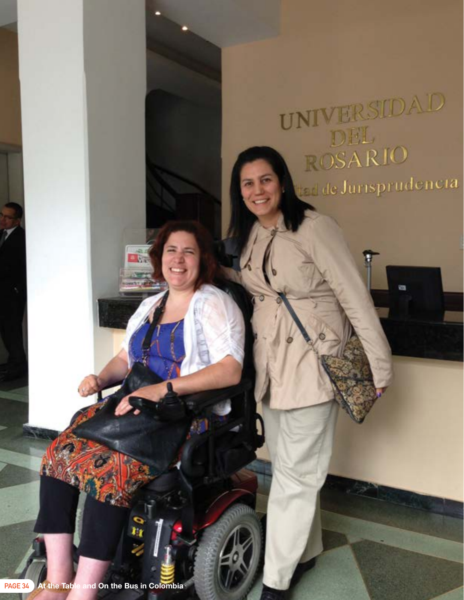## UNIVERSIDAD tal de Jurisprudencia

ès.

 **PAGE 34 At the Table and On the Bus in Colombia**

 $\frac{6}{3}$